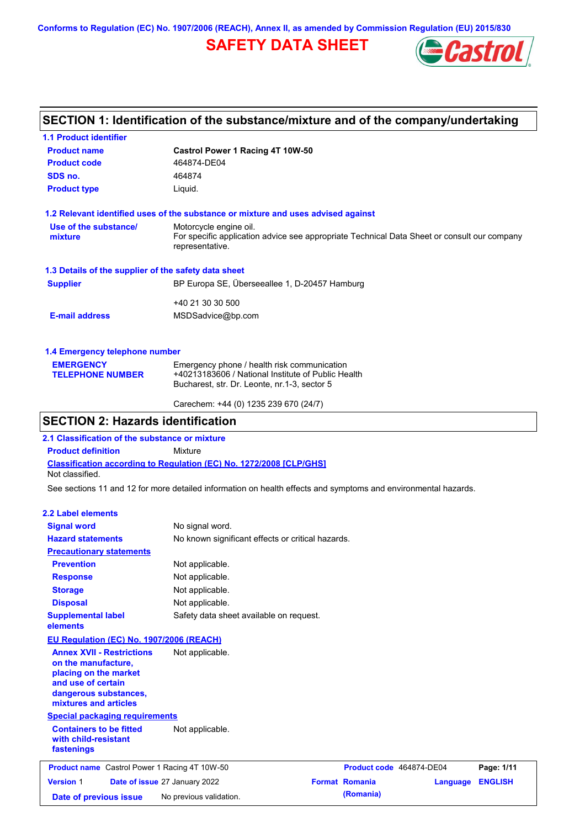**Conforms to Regulation (EC) No. 1907/2006 (REACH), Annex II, as amended by Commission Regulation (EU) 2015/830**

# **SAFETY DATA SHEET**



# **SECTION 1: Identification of the substance/mixture and of the company/undertaking**

| <b>1.1 Product identifier</b>                        |                                                                                                                |  |  |  |  |
|------------------------------------------------------|----------------------------------------------------------------------------------------------------------------|--|--|--|--|
| <b>Product name</b>                                  | Castrol Power 1 Racing 4T 10W-50                                                                               |  |  |  |  |
| <b>Product code</b>                                  | 464874-DE04                                                                                                    |  |  |  |  |
| SDS no.                                              | 464874                                                                                                         |  |  |  |  |
| <b>Product type</b><br>Liquid.                       |                                                                                                                |  |  |  |  |
|                                                      | 1.2 Relevant identified uses of the substance or mixture and uses advised against                              |  |  |  |  |
| Use of the substance/                                | Motorcycle engine oil.                                                                                         |  |  |  |  |
| mixture                                              | For specific application advice see appropriate Technical Data Sheet or consult our company<br>representative. |  |  |  |  |
| 1.3 Details of the supplier of the safety data sheet |                                                                                                                |  |  |  |  |
| <b>Supplier</b>                                      | BP Europa SE, Überseeallee 1, D-20457 Hamburg                                                                  |  |  |  |  |
|                                                      | +40 21 30 30 500                                                                                               |  |  |  |  |
| <b>E-mail address</b>                                | MSDSadvice@bp.com                                                                                              |  |  |  |  |
| 1.4 Emergency telephone number                       |                                                                                                                |  |  |  |  |
| <b>EMERGENCY</b>                                     | Emergency phone / health risk communication                                                                    |  |  |  |  |
| <b>TELEPHONE NUMBER</b>                              | +40213183606 / National Institute of Public Health                                                             |  |  |  |  |
|                                                      | Bucharest, str. Dr. Leonte, nr.1-3, sector 5                                                                   |  |  |  |  |

### **SECTION 2: Hazards identification**

**2.1 Classification of the substance or mixture**

**Product definition** Mixture

**Classification according to Regulation (EC) No. 1272/2008 [CLP/GHS]** Not classified.

See sections 11 and 12 for more detailed information on health effects and symptoms and environmental hazards.

Carechem: +44 (0) 1235 239 670 (24/7)

### **2.2 Label elements**

| <b>Signal word</b>                                                                                                                                       | No signal word.                                   |                          |          |                |
|----------------------------------------------------------------------------------------------------------------------------------------------------------|---------------------------------------------------|--------------------------|----------|----------------|
| <b>Hazard statements</b>                                                                                                                                 | No known significant effects or critical hazards. |                          |          |                |
| <b>Precautionary statements</b>                                                                                                                          |                                                   |                          |          |                |
| <b>Prevention</b>                                                                                                                                        | Not applicable.                                   |                          |          |                |
| <b>Response</b>                                                                                                                                          | Not applicable.                                   |                          |          |                |
| <b>Storage</b>                                                                                                                                           | Not applicable.                                   |                          |          |                |
| <b>Disposal</b>                                                                                                                                          | Not applicable.                                   |                          |          |                |
| <b>Supplemental label</b><br>elements                                                                                                                    | Safety data sheet available on request.           |                          |          |                |
| EU Regulation (EC) No. 1907/2006 (REACH)                                                                                                                 |                                                   |                          |          |                |
| <b>Annex XVII - Restrictions</b><br>on the manufacture,<br>placing on the market<br>and use of certain<br>dangerous substances,<br>mixtures and articles | Not applicable.                                   |                          |          |                |
| <b>Special packaging requirements</b>                                                                                                                    |                                                   |                          |          |                |
| <b>Containers to be fitted</b><br>with child-resistant<br>fastenings                                                                                     | Not applicable.                                   |                          |          |                |
| <b>Product name</b> Castrol Power 1 Racing 4T 10W-50                                                                                                     |                                                   | Product code 464874-DE04 |          | Page: 1/11     |
| <b>Version 1</b>                                                                                                                                         | Date of issue 27 January 2022                     | <b>Format Romania</b>    | Language | <b>ENGLISH</b> |
| Date of previous issue                                                                                                                                   | No previous validation.                           | (Romania)                |          |                |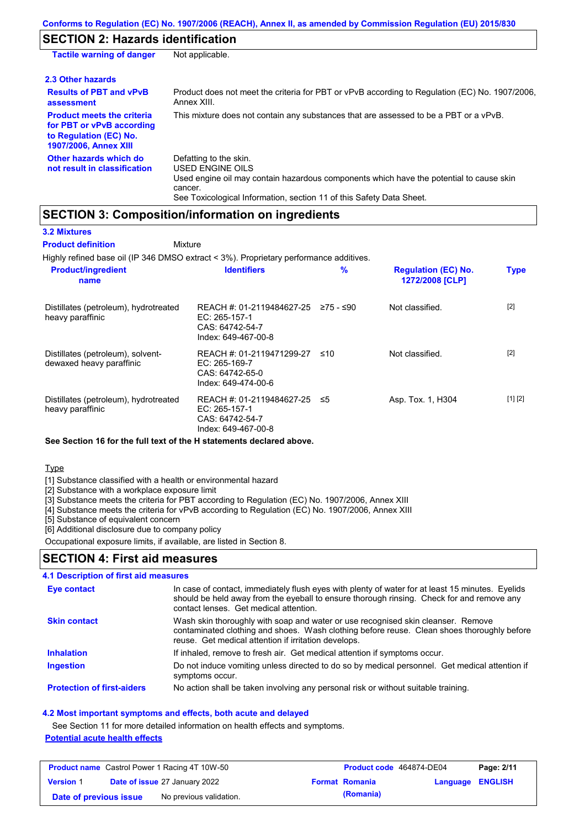# **SECTION 2: Hazards identification**

| <b>Tactile warning of danger</b>                                                                                         | Not applicable.                                                                                                                                                                                                          |
|--------------------------------------------------------------------------------------------------------------------------|--------------------------------------------------------------------------------------------------------------------------------------------------------------------------------------------------------------------------|
| 2.3 Other hazards                                                                                                        |                                                                                                                                                                                                                          |
| <b>Results of PBT and vPvB</b><br>assessment                                                                             | Product does not meet the criteria for PBT or vPvB according to Regulation (EC) No. 1907/2006,<br>Annex XIII.                                                                                                            |
| <b>Product meets the criteria</b><br>for PBT or vPvB according<br>to Regulation (EC) No.<br><b>1907/2006, Annex XIII</b> | This mixture does not contain any substances that are assessed to be a PBT or a vPvB.                                                                                                                                    |
| Other hazards which do<br>not result in classification                                                                   | Defatting to the skin.<br>USED ENGINE OILS<br>Used engine oil may contain hazardous components which have the potential to cause skin<br>cancer.<br>See Toxicological Information, section 11 of this Safety Data Sheet. |

### **SECTION 3: Composition/information on ingredients**

| <b>3.2 Mixtures</b>                                                                    |                                                                                      |           |                                               |             |
|----------------------------------------------------------------------------------------|--------------------------------------------------------------------------------------|-----------|-----------------------------------------------|-------------|
| <b>Product definition</b>                                                              | Mixture                                                                              |           |                                               |             |
| Highly refined base oil (IP 346 DMSO extract < 3%). Proprietary performance additives. |                                                                                      |           |                                               |             |
| <b>Product/ingredient</b><br>name                                                      | <b>Identifiers</b>                                                                   | %         | <b>Regulation (EC) No.</b><br>1272/2008 [CLP] | <b>Type</b> |
| Distillates (petroleum), hydrotreated<br>heavy paraffinic                              | REACH #: 01-2119484627-25<br>EC: 265-157-1<br>CAS: 64742-54-7<br>Index: 649-467-00-8 | 275 - ≤90 | Not classified.                               | $[2]$       |
| Distillates (petroleum), solvent-<br>dewaxed heavy paraffinic                          | REACH #: 01-2119471299-27<br>EC: 265-169-7<br>CAS: 64742-65-0<br>Index: 649-474-00-6 | ≤10       | Not classified.                               | $[2]$       |
| Distillates (petroleum), hydrotreated<br>heavy paraffinic                              | REACH #: 01-2119484627-25<br>EC: 265-157-1<br>CAS: 64742-54-7<br>Index: 649-467-00-8 | ≤5        | Asp. Tox. 1, H304                             | [1] [2]     |

**See Section 16 for the full text of the H statements declared above.**

### **Type**

[1] Substance classified with a health or environmental hazard

[2] Substance with a workplace exposure limit

[3] Substance meets the criteria for PBT according to Regulation (EC) No. 1907/2006, Annex XIII

[4] Substance meets the criteria for vPvB according to Regulation (EC) No. 1907/2006, Annex XIII

[5] Substance of equivalent concern

[6] Additional disclosure due to company policy

Occupational exposure limits, if available, are listed in Section 8.

### **SECTION 4: First aid measures**

### **4.1 Description of first aid measures**

| <b>Eye contact</b>                | In case of contact, immediately flush eyes with plenty of water for at least 15 minutes. Eyelids<br>should be held away from the eyeball to ensure thorough rinsing. Check for and remove any<br>contact lenses. Get medical attention. |
|-----------------------------------|-----------------------------------------------------------------------------------------------------------------------------------------------------------------------------------------------------------------------------------------|
| <b>Skin contact</b>               | Wash skin thoroughly with soap and water or use recognised skin cleanser. Remove<br>contaminated clothing and shoes. Wash clothing before reuse. Clean shoes thoroughly before<br>reuse. Get medical attention if irritation develops.  |
| <b>Inhalation</b>                 | If inhaled, remove to fresh air. Get medical attention if symptoms occur.                                                                                                                                                               |
| <b>Ingestion</b>                  | Do not induce vomiting unless directed to do so by medical personnel. Get medical attention if<br>symptoms occur.                                                                                                                       |
| <b>Protection of first-aiders</b> | No action shall be taken involving any personal risk or without suitable training.                                                                                                                                                      |

#### **4.2 Most important symptoms and effects, both acute and delayed**

See Section 11 for more detailed information on health effects and symptoms.

### **Potential acute health effects**

| <b>Product name</b> Castrol Power 1 Racing 4T 10W-50 |  | <b>Product code</b> 464874-DE04      |  | Page: 2/11            |                  |  |
|------------------------------------------------------|--|--------------------------------------|--|-----------------------|------------------|--|
| <b>Version 1</b>                                     |  | <b>Date of issue 27 January 2022</b> |  | <b>Format Romania</b> | Language ENGLISH |  |
| Date of previous issue                               |  | No previous validation.              |  | (Romania)             |                  |  |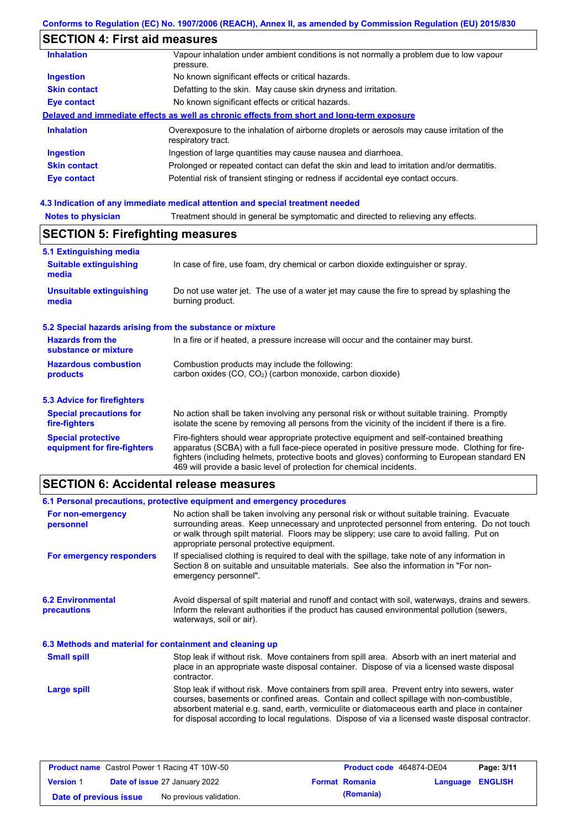# **SECTION 4: First aid measures**

| <b>Inhalation</b>   | Vapour inhalation under ambient conditions is not normally a problem due to low vapour<br>pressure.               |
|---------------------|-------------------------------------------------------------------------------------------------------------------|
| <b>Ingestion</b>    | No known significant effects or critical hazards.                                                                 |
| <b>Skin contact</b> | Defatting to the skin. May cause skin dryness and irritation.                                                     |
| Eye contact         | No known significant effects or critical hazards.                                                                 |
|                     | Delayed and immediate effects as well as chronic effects from short and long-term exposure                        |
| <b>Inhalation</b>   | Overexposure to the inhalation of airborne droplets or aerosols may cause irritation of the<br>respiratory tract. |
| <b>Ingestion</b>    | Ingestion of large quantities may cause nausea and diarrhoea.                                                     |
| <b>Skin contact</b> | Prolonged or repeated contact can defat the skin and lead to irritation and/or dermatitis.                        |
| Eye contact         | Potential risk of transient stinging or redness if accidental eye contact occurs.                                 |

# **4.3 Indication of any immediate medical attention and special treatment needed**

| <b>SECTION 5: Firefighting measures</b>                   |                                                                                                                                                                                                |  |  |  |
|-----------------------------------------------------------|------------------------------------------------------------------------------------------------------------------------------------------------------------------------------------------------|--|--|--|
| 5.1 Extinguishing media                                   |                                                                                                                                                                                                |  |  |  |
| <b>Suitable extinguishing</b><br>media                    | In case of fire, use foam, dry chemical or carbon dioxide extinguisher or spray.                                                                                                               |  |  |  |
| <b>Unsuitable extinguishing</b><br>media                  | Do not use water jet. The use of a water jet may cause the fire to spread by splashing the<br>burning product.                                                                                 |  |  |  |
| 5.2 Special hazards arising from the substance or mixture |                                                                                                                                                                                                |  |  |  |
| <b>Hazards from the</b><br>substance or mixture           | In a fire or if heated, a pressure increase will occur and the container may burst.                                                                                                            |  |  |  |
| <b>Hazardous combustion</b><br>products                   | Combustion products may include the following:<br>carbon oxides (CO, CO2) (carbon monoxide, carbon dioxide)                                                                                    |  |  |  |
| 5.3 Advice for firefighters                               |                                                                                                                                                                                                |  |  |  |
| <b>Special precautions for</b><br>fire-fighters           | No action shall be taken involving any personal risk or without suitable training. Promptly<br>isolate the scene by removing all persons from the vicinity of the incident if there is a fire. |  |  |  |
| <b>Special protective</b><br>equipment for fire-fighters  | Fire-fighters should wear appropriate protective equipment and self-contained breathing<br>apparatus (SCBA) with a full face-piece operated in positive pressure mode. Clothing for fire-      |  |  |  |

# **SECTION 6: Accidental release measures**

|                                                          | 6.1 Personal precautions, protective equipment and emergency procedures                                                                                                                                                                                                                                                                                                                        |  |  |
|----------------------------------------------------------|------------------------------------------------------------------------------------------------------------------------------------------------------------------------------------------------------------------------------------------------------------------------------------------------------------------------------------------------------------------------------------------------|--|--|
| For non-emergency<br>personnel                           | No action shall be taken involving any personal risk or without suitable training. Evacuate<br>surrounding areas. Keep unnecessary and unprotected personnel from entering. Do not touch<br>or walk through spilt material. Floors may be slippery; use care to avoid falling. Put on<br>appropriate personal protective equipment.                                                            |  |  |
| For emergency responders                                 | If specialised clothing is required to deal with the spillage, take note of any information in<br>Section 8 on suitable and unsuitable materials. See also the information in "For non-<br>emergency personnel".                                                                                                                                                                               |  |  |
| <b>6.2 Environmental</b><br>precautions                  | Avoid dispersal of spilt material and runoff and contact with soil, waterways, drains and sewers.<br>Inform the relevant authorities if the product has caused environmental pollution (sewers,<br>waterways, soil or air).                                                                                                                                                                    |  |  |
| 6.3 Methods and material for containment and cleaning up |                                                                                                                                                                                                                                                                                                                                                                                                |  |  |
| <b>Small spill</b>                                       | Stop leak if without risk. Move containers from spill area. Absorb with an inert material and<br>place in an appropriate waste disposal container. Dispose of via a licensed waste disposal<br>contractor.                                                                                                                                                                                     |  |  |
| <b>Large spill</b>                                       | Stop leak if without risk. Move containers from spill area. Prevent entry into sewers, water<br>courses, basements or confined areas. Contain and collect spillage with non-combustible,<br>absorbent material e.g. sand, earth, vermiculite or diatomaceous earth and place in container<br>for disposal according to local regulations. Dispose of via a licensed waste disposal contractor. |  |  |

469 will provide a basic level of protection for chemical incidents.

fighters (including helmets, protective boots and gloves) conforming to European standard EN

| <b>Product name</b> Castrol Power 1 Racing 4T 10W-50 |  | Product code 464874-DE04             |  | Page: 3/11            |                         |  |
|------------------------------------------------------|--|--------------------------------------|--|-----------------------|-------------------------|--|
| <b>Version 1</b>                                     |  | <b>Date of issue 27 January 2022</b> |  | <b>Format Romania</b> | <b>Language ENGLISH</b> |  |
| Date of previous issue                               |  | No previous validation.              |  | (Romania)             |                         |  |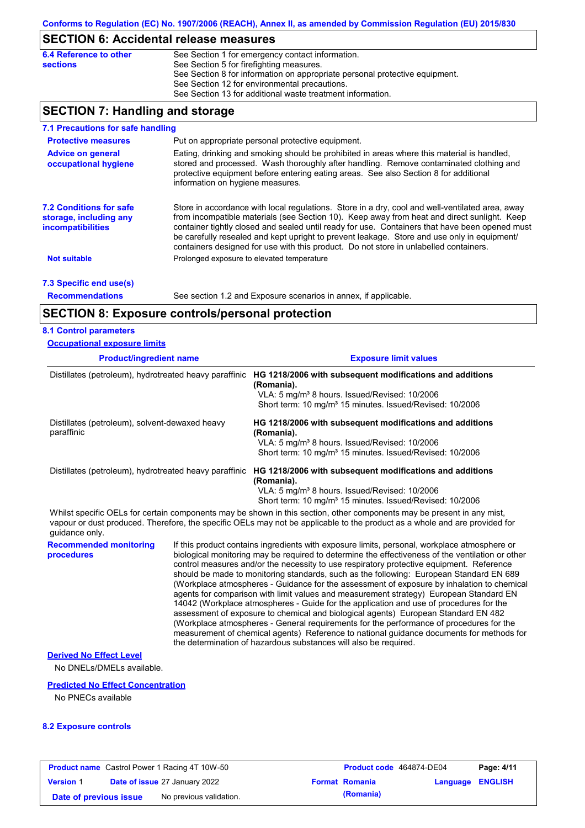# **SECTION 6: Accidental release measures**

| 6.4 Reference to other | See Section 1 for emergency contact information.                            |
|------------------------|-----------------------------------------------------------------------------|
| <b>sections</b>        | See Section 5 for firefighting measures.                                    |
|                        | See Section 8 for information on appropriate personal protective equipment. |
|                        | See Section 12 for environmental precautions.                               |
|                        | See Section 13 for additional waste treatment information.                  |

### **SECTION 7: Handling and storage**

| 7.1 Precautions for safe handling                                                    |                                                                                                                                                                                                                                                                                                                                                                                                                                                                                          |
|--------------------------------------------------------------------------------------|------------------------------------------------------------------------------------------------------------------------------------------------------------------------------------------------------------------------------------------------------------------------------------------------------------------------------------------------------------------------------------------------------------------------------------------------------------------------------------------|
| <b>Protective measures</b>                                                           | Put on appropriate personal protective equipment.                                                                                                                                                                                                                                                                                                                                                                                                                                        |
| <b>Advice on general</b><br>occupational hygiene                                     | Eating, drinking and smoking should be prohibited in areas where this material is handled,<br>stored and processed. Wash thoroughly after handling. Remove contaminated clothing and<br>protective equipment before entering eating areas. See also Section 8 for additional<br>information on hygiene measures.                                                                                                                                                                         |
| <b>7.2 Conditions for safe</b><br>storage, including any<br><i>incompatibilities</i> | Store in accordance with local requlations. Store in a dry, cool and well-ventilated area, away<br>from incompatible materials (see Section 10). Keep away from heat and direct sunlight. Keep<br>container tightly closed and sealed until ready for use. Containers that have been opened must<br>be carefully resealed and kept upright to prevent leakage. Store and use only in equipment/<br>containers designed for use with this product. Do not store in unlabelled containers. |
| <b>Not suitable</b>                                                                  | Prolonged exposure to elevated temperature                                                                                                                                                                                                                                                                                                                                                                                                                                               |
| 7.3 Specific end use(s)                                                              |                                                                                                                                                                                                                                                                                                                                                                                                                                                                                          |
| <b>Recommendations</b>                                                               | See section 1.2 and Exposure scenarios in annex, if applicable.                                                                                                                                                                                                                                                                                                                                                                                                                          |

### **SECTION 8: Exposure controls/personal protection**

#### **8.1 Control parameters**

| <b>Occupational exposure limits</b>                          |                                                                                                                                                                                                             |
|--------------------------------------------------------------|-------------------------------------------------------------------------------------------------------------------------------------------------------------------------------------------------------------|
| <b>Product/ingredient name</b>                               | <b>Exposure limit values</b>                                                                                                                                                                                |
| Distillates (petroleum), hydrotreated heavy paraffinic       | HG 1218/2006 with subsequent modifications and additions<br>(Romania).<br>VLA: 5 mg/m <sup>3</sup> 8 hours. Issued/Revised: 10/2006<br>Short term: 10 mg/m <sup>3</sup> 15 minutes. Issued/Revised: 10/2006 |
| Distillates (petroleum), solvent-dewaxed heavy<br>paraffinic | HG 1218/2006 with subsequent modifications and additions<br>(Romania).<br>VLA: 5 mg/m <sup>3</sup> 8 hours. Issued/Revised: 10/2006<br>Short term: 10 mg/m <sup>3</sup> 15 minutes. Issued/Revised: 10/2006 |
| Distillates (petroleum), hydrotreated heavy paraffinic       | HG 1218/2006 with subsequent modifications and additions<br>(Romania).<br>VLA: 5 mg/m <sup>3</sup> 8 hours. Issued/Revised: 10/2006<br>Short term: 10 mg/m <sup>3</sup> 15 minutes. Issued/Revised: 10/2006 |

Whilst specific OELs for certain components may be shown in this section, other components may be present in any mist, vapour or dust produced. Therefore, the specific OELs may not be applicable to the product as a whole and are provided for guidance only.

**Recommended monitoring procedures** If this product contains ingredients with exposure limits, personal, workplace atmosphere or biological monitoring may be required to determine the effectiveness of the ventilation or other control measures and/or the necessity to use respiratory protective equipment. Reference should be made to monitoring standards, such as the following: European Standard EN 689 (Workplace atmospheres - Guidance for the assessment of exposure by inhalation to chemical agents for comparison with limit values and measurement strategy) European Standard EN 14042 (Workplace atmospheres - Guide for the application and use of procedures for the assessment of exposure to chemical and biological agents) European Standard EN 482 (Workplace atmospheres - General requirements for the performance of procedures for the measurement of chemical agents) Reference to national guidance documents for methods for the determination of hazardous substances will also be required.

### **Derived No Effect Level**

No DNELs/DMELs available.

### **Predicted No Effect Concentration**

No PNECs available

#### **8.2 Exposure controls**

| <b>Product name</b> Castrol Power 1 Racing 4T 10W-50 |  | <b>Product code</b> 464874-DE04      |  | Page: 4/11            |                  |  |
|------------------------------------------------------|--|--------------------------------------|--|-----------------------|------------------|--|
| <b>Version 1</b>                                     |  | <b>Date of issue 27 January 2022</b> |  | <b>Format Romania</b> | Language ENGLISH |  |
| Date of previous issue                               |  | No previous validation.              |  | (Romania)             |                  |  |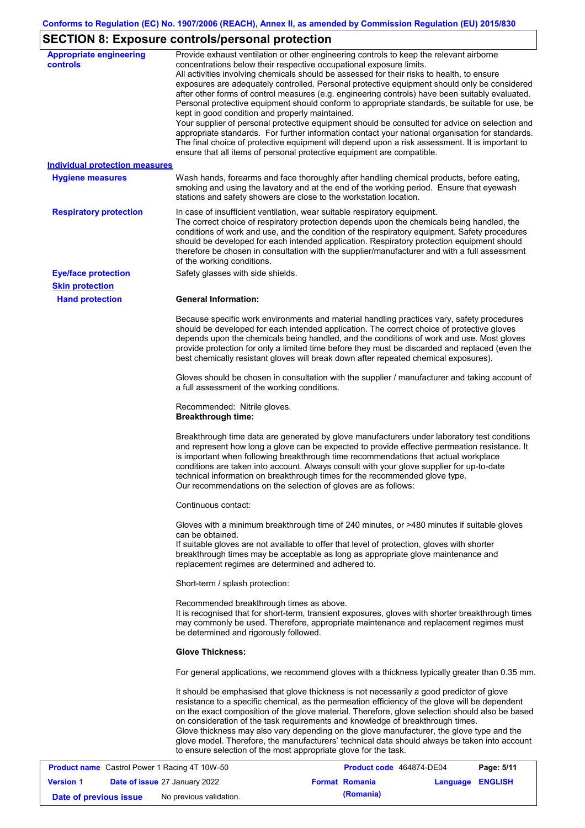# **SECTION 8: Exposure controls/personal protection**

| <b>Appropriate engineering</b><br><b>controls</b>    | Provide exhaust ventilation or other engineering controls to keep the relevant airborne<br>concentrations below their respective occupational exposure limits.                                                                                                                                                                                                                                                                                                                                                                                                                                                                                                                                                                                                                                                                        |
|------------------------------------------------------|---------------------------------------------------------------------------------------------------------------------------------------------------------------------------------------------------------------------------------------------------------------------------------------------------------------------------------------------------------------------------------------------------------------------------------------------------------------------------------------------------------------------------------------------------------------------------------------------------------------------------------------------------------------------------------------------------------------------------------------------------------------------------------------------------------------------------------------|
|                                                      | All activities involving chemicals should be assessed for their risks to health, to ensure<br>exposures are adequately controlled. Personal protective equipment should only be considered<br>after other forms of control measures (e.g. engineering controls) have been suitably evaluated.<br>Personal protective equipment should conform to appropriate standards, be suitable for use, be<br>kept in good condition and properly maintained.<br>Your supplier of personal protective equipment should be consulted for advice on selection and<br>appropriate standards. For further information contact your national organisation for standards.<br>The final choice of protective equipment will depend upon a risk assessment. It is important to<br>ensure that all items of personal protective equipment are compatible. |
| <b>Individual protection measures</b>                |                                                                                                                                                                                                                                                                                                                                                                                                                                                                                                                                                                                                                                                                                                                                                                                                                                       |
| <b>Hygiene measures</b>                              | Wash hands, forearms and face thoroughly after handling chemical products, before eating,<br>smoking and using the lavatory and at the end of the working period. Ensure that eyewash<br>stations and safety showers are close to the workstation location.                                                                                                                                                                                                                                                                                                                                                                                                                                                                                                                                                                           |
| <b>Respiratory protection</b>                        | In case of insufficient ventilation, wear suitable respiratory equipment.<br>The correct choice of respiratory protection depends upon the chemicals being handled, the<br>conditions of work and use, and the condition of the respiratory equipment. Safety procedures<br>should be developed for each intended application. Respiratory protection equipment should<br>therefore be chosen in consultation with the supplier/manufacturer and with a full assessment<br>of the working conditions.                                                                                                                                                                                                                                                                                                                                 |
| <b>Eye/face protection</b>                           | Safety glasses with side shields.                                                                                                                                                                                                                                                                                                                                                                                                                                                                                                                                                                                                                                                                                                                                                                                                     |
| <b>Skin protection</b>                               |                                                                                                                                                                                                                                                                                                                                                                                                                                                                                                                                                                                                                                                                                                                                                                                                                                       |
| <b>Hand protection</b>                               | <b>General Information:</b>                                                                                                                                                                                                                                                                                                                                                                                                                                                                                                                                                                                                                                                                                                                                                                                                           |
|                                                      | Because specific work environments and material handling practices vary, safety procedures<br>should be developed for each intended application. The correct choice of protective gloves<br>depends upon the chemicals being handled, and the conditions of work and use. Most gloves<br>provide protection for only a limited time before they must be discarded and replaced (even the<br>best chemically resistant gloves will break down after repeated chemical exposures).                                                                                                                                                                                                                                                                                                                                                      |
|                                                      | Gloves should be chosen in consultation with the supplier / manufacturer and taking account of<br>a full assessment of the working conditions.                                                                                                                                                                                                                                                                                                                                                                                                                                                                                                                                                                                                                                                                                        |
|                                                      | Recommended: Nitrile gloves.<br><b>Breakthrough time:</b>                                                                                                                                                                                                                                                                                                                                                                                                                                                                                                                                                                                                                                                                                                                                                                             |
|                                                      | Breakthrough time data are generated by glove manufacturers under laboratory test conditions<br>and represent how long a glove can be expected to provide effective permeation resistance. It<br>is important when following breakthrough time recommendations that actual workplace<br>conditions are taken into account. Always consult with your glove supplier for up-to-date<br>technical information on breakthrough times for the recommended glove type.<br>Our recommendations on the selection of gloves are as follows:                                                                                                                                                                                                                                                                                                    |
|                                                      | Continuous contact:                                                                                                                                                                                                                                                                                                                                                                                                                                                                                                                                                                                                                                                                                                                                                                                                                   |
|                                                      | Gloves with a minimum breakthrough time of 240 minutes, or >480 minutes if suitable gloves<br>can be obtained.<br>If suitable gloves are not available to offer that level of protection, gloves with shorter<br>breakthrough times may be acceptable as long as appropriate glove maintenance and<br>replacement regimes are determined and adhered to.                                                                                                                                                                                                                                                                                                                                                                                                                                                                              |
|                                                      | Short-term / splash protection:                                                                                                                                                                                                                                                                                                                                                                                                                                                                                                                                                                                                                                                                                                                                                                                                       |
|                                                      | Recommended breakthrough times as above.<br>It is recognised that for short-term, transient exposures, gloves with shorter breakthrough times<br>may commonly be used. Therefore, appropriate maintenance and replacement regimes must<br>be determined and rigorously followed.                                                                                                                                                                                                                                                                                                                                                                                                                                                                                                                                                      |
|                                                      | <b>Glove Thickness:</b>                                                                                                                                                                                                                                                                                                                                                                                                                                                                                                                                                                                                                                                                                                                                                                                                               |
|                                                      | For general applications, we recommend gloves with a thickness typically greater than 0.35 mm.                                                                                                                                                                                                                                                                                                                                                                                                                                                                                                                                                                                                                                                                                                                                        |
|                                                      | It should be emphasised that glove thickness is not necessarily a good predictor of glove<br>resistance to a specific chemical, as the permeation efficiency of the glove will be dependent<br>on the exact composition of the glove material. Therefore, glove selection should also be based<br>on consideration of the task requirements and knowledge of breakthrough times.<br>Glove thickness may also vary depending on the glove manufacturer, the glove type and the<br>glove model. Therefore, the manufacturers' technical data should always be taken into account<br>to ensure selection of the most appropriate glove for the task.                                                                                                                                                                                     |
| <b>Product name</b> Castrol Power 1 Racing 4T 10W-50 | <b>Product code 464874-DE04</b><br>$P$ ane: 5/11                                                                                                                                                                                                                                                                                                                                                                                                                                                                                                                                                                                                                                                                                                                                                                                      |

| <b>Product name</b> Castrol Power 1 Racing 4T 10W-50 |                                      | Product code 464874-DE04 | Page: 5/11 |                       |                  |  |
|------------------------------------------------------|--------------------------------------|--------------------------|------------|-----------------------|------------------|--|
| <b>Version 1</b>                                     | <b>Date of issue 27 January 2022</b> |                          |            | <b>Format Romania</b> | Language ENGLISH |  |
| Date of previous issue                               |                                      | No previous validation.  |            | (Romania)             |                  |  |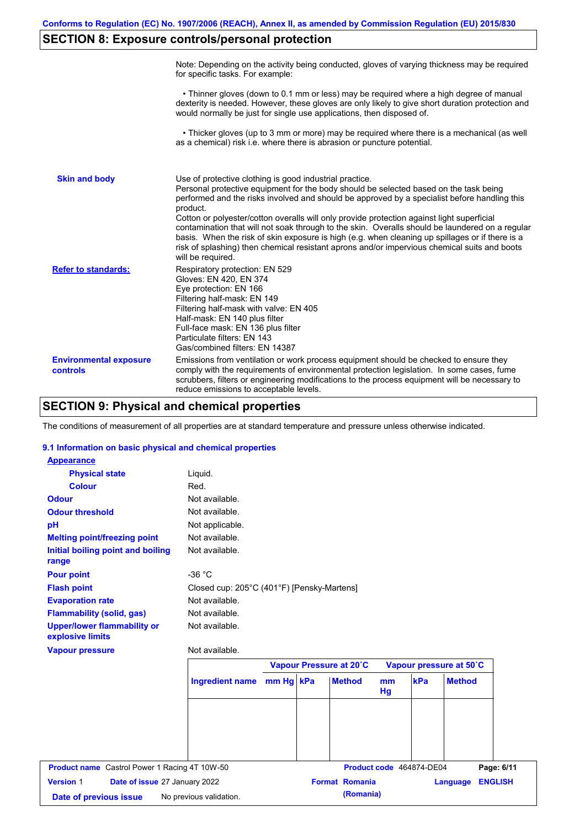# **SECTION 8: Exposure controls/personal protection**

|                                           | Note: Depending on the activity being conducted, gloves of varying thickness may be required<br>for specific tasks. For example:                                                                                                                                                                                                                                                                                                                                                                                                                                                                                                                                                      |
|-------------------------------------------|---------------------------------------------------------------------------------------------------------------------------------------------------------------------------------------------------------------------------------------------------------------------------------------------------------------------------------------------------------------------------------------------------------------------------------------------------------------------------------------------------------------------------------------------------------------------------------------------------------------------------------------------------------------------------------------|
|                                           | • Thinner gloves (down to 0.1 mm or less) may be required where a high degree of manual<br>dexterity is needed. However, these gloves are only likely to give short duration protection and<br>would normally be just for single use applications, then disposed of.                                                                                                                                                                                                                                                                                                                                                                                                                  |
|                                           | • Thicker gloves (up to 3 mm or more) may be required where there is a mechanical (as well<br>as a chemical) risk i.e. where there is abrasion or puncture potential.                                                                                                                                                                                                                                                                                                                                                                                                                                                                                                                 |
| <b>Skin and body</b>                      | Use of protective clothing is good industrial practice.<br>Personal protective equipment for the body should be selected based on the task being<br>performed and the risks involved and should be approved by a specialist before handling this<br>product.<br>Cotton or polyester/cotton overalls will only provide protection against light superficial<br>contamination that will not soak through to the skin. Overalls should be laundered on a regular<br>basis. When the risk of skin exposure is high (e.g. when cleaning up spillages or if there is a<br>risk of splashing) then chemical resistant aprons and/or impervious chemical suits and boots<br>will be required. |
| <b>Refer to standards:</b>                | Respiratory protection: EN 529<br>Gloves: EN 420, EN 374<br>Eye protection: EN 166<br>Filtering half-mask: EN 149<br>Filtering half-mask with valve: EN 405<br>Half-mask: EN 140 plus filter<br>Full-face mask: EN 136 plus filter<br>Particulate filters: EN 143<br>Gas/combined filters: EN 14387                                                                                                                                                                                                                                                                                                                                                                                   |
| <b>Environmental exposure</b><br>controls | Emissions from ventilation or work process equipment should be checked to ensure they<br>comply with the requirements of environmental protection legislation. In some cases, fume<br>scrubbers, filters or engineering modifications to the process equipment will be necessary to<br>reduce emissions to acceptable levels.                                                                                                                                                                                                                                                                                                                                                         |

# **SECTION 9: Physical and chemical properties**

The conditions of measurement of all properties are at standard temperature and pressure unless otherwise indicated.

### **9.1 Information on basic physical and chemical properties**

| <b>Appearance</b>                                      |                                            |  |                         |    |                          |                         |                              |
|--------------------------------------------------------|--------------------------------------------|--|-------------------------|----|--------------------------|-------------------------|------------------------------|
| <b>Physical state</b>                                  | Liquid.                                    |  |                         |    |                          |                         |                              |
| <b>Colour</b>                                          | Red.                                       |  |                         |    |                          |                         |                              |
| <b>Odour</b>                                           | Not available.                             |  |                         |    |                          |                         |                              |
| <b>Odour threshold</b>                                 | Not available.                             |  |                         |    |                          |                         |                              |
| pH                                                     | Not applicable.                            |  |                         |    |                          |                         |                              |
| <b>Melting point/freezing point</b>                    | Not available.                             |  |                         |    |                          |                         |                              |
| Initial boiling point and boiling<br>range             | Not available.                             |  |                         |    |                          |                         |                              |
| <b>Pour point</b>                                      | $-36 °C$                                   |  |                         |    |                          |                         |                              |
| <b>Flash point</b>                                     | Closed cup: 205°C (401°F) [Pensky-Martens] |  |                         |    |                          |                         |                              |
| <b>Evaporation rate</b>                                | Not available.                             |  |                         |    |                          |                         |                              |
| <b>Flammability (solid, gas)</b>                       | Not available.                             |  |                         |    |                          |                         |                              |
| <b>Upper/lower flammability or</b><br>explosive limits | Not available.                             |  |                         |    |                          |                         |                              |
| <b>Vapour pressure</b>                                 | Not available.                             |  |                         |    |                          |                         |                              |
|                                                        |                                            |  | Vapour Pressure at 20°C |    |                          | Vapour pressure at 50°C |                              |
|                                                        |                                            |  | <b>Method</b>           | mm | kPa                      | <b>Method</b>           |                              |
|                                                        | Ingredient name mm Hg kPa                  |  |                         | Hg |                          |                         |                              |
|                                                        |                                            |  |                         |    |                          |                         |                              |
|                                                        |                                            |  |                         |    |                          |                         |                              |
|                                                        |                                            |  |                         |    |                          |                         |                              |
| <b>Product name</b> Castrol Power 1 Racing 4T 10W-50   |                                            |  |                         |    | Product code 464874-DE04 |                         |                              |
| <b>Version 1</b><br>Date of issue 27 January 2022      |                                            |  | <b>Format Romania</b>   |    |                          | Language                | Page: 6/11<br><b>ENGLISH</b> |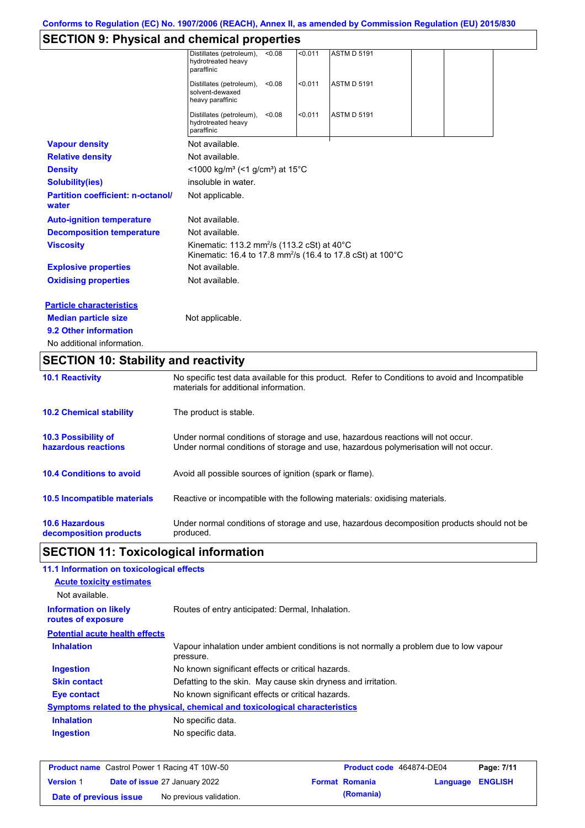# **SECTION 9: Physical and chemical properties**

| <b>10.2 Chemical stability</b>                    | The product is stable.                                                                                                                   |
|---------------------------------------------------|------------------------------------------------------------------------------------------------------------------------------------------|
| <b>10.1 Reactivity</b>                            | No specific test data available for this product. Refer to Conditions to avoid and Incompatible<br>materials for additional information. |
| <b>SECTION 10: Stability and reactivity</b>       |                                                                                                                                          |
| No additional information.                        |                                                                                                                                          |
| 9.2 Other information                             |                                                                                                                                          |
| <b>Median particle size</b>                       | Not applicable.                                                                                                                          |
| <b>Particle characteristics</b>                   |                                                                                                                                          |
| <b>Oxidising properties</b>                       | Not available.                                                                                                                           |
| <b>Explosive properties</b>                       | Not available.                                                                                                                           |
| <b>Viscosity</b>                                  | Kinematic: 113.2 mm <sup>2</sup> /s (113.2 cSt) at 40°C<br>Kinematic: 16.4 to 17.8 mm <sup>2</sup> /s (16.4 to 17.8 cSt) at 100°C        |
| <b>Decomposition temperature</b>                  | Not available.                                                                                                                           |
| <b>Auto-ignition temperature</b>                  | Not available.                                                                                                                           |
| <b>Partition coefficient: n-octanol/</b><br>water | Not applicable.                                                                                                                          |
| <b>Solubility(ies)</b>                            | insoluble in water.                                                                                                                      |
| <b>Density</b>                                    | <1000 kg/m <sup>3</sup> (<1 g/cm <sup>3</sup> ) at 15 <sup>°</sup> C                                                                     |
| <b>Relative density</b>                           | Not available.                                                                                                                           |
| <b>Vapour density</b>                             | Not available.                                                                                                                           |
|                                                   | Distillates (petroleum),<br>< 0.011<br><b>ASTM D 5191</b><br>< 0.08<br>hydrotreated heavy<br>paraffinic                                  |
|                                                   | < 0.011<br><b>ASTM D 5191</b><br>Distillates (petroleum),<br>< 0.08<br>solvent-dewaxed<br>heavy paraffinic                               |
|                                                   | Distillates (petroleum),<br>< 0.011<br><b>ASTM D 5191</b><br>< 0.08<br>hydrotreated heavy<br>paraffinic                                  |

| <b>10.3 Possibility of</b>      | Under normal conditions of storage and use, hazardous reactions will not occur.            |
|---------------------------------|--------------------------------------------------------------------------------------------|
| hazardous reactions             | Under normal conditions of storage and use, hazardous polymerisation will not occur.       |
| <b>10.4 Conditions to avoid</b> | Avoid all possible sources of ignition (spark or flame).                                   |
| 10.5 Incompatible materials     | Reactive or incompatible with the following materials: oxidising materials.                |
| <b>10.6 Hazardous</b>           | Under normal conditions of storage and use, hazardous decomposition products should not be |
| decomposition products          | produced.                                                                                  |

# **SECTION 11: Toxicological information**

| 11.1 Information on toxicological effects          |                                                                                                     |
|----------------------------------------------------|-----------------------------------------------------------------------------------------------------|
| <b>Acute toxicity estimates</b>                    |                                                                                                     |
| Not available.                                     |                                                                                                     |
| <b>Information on likely</b><br>routes of exposure | Routes of entry anticipated: Dermal, Inhalation.                                                    |
| <b>Potential acute health effects</b>              |                                                                                                     |
| <b>Inhalation</b>                                  | Vapour inhalation under ambient conditions is not normally a problem due to low vapour<br>pressure. |
| <b>Ingestion</b>                                   | No known significant effects or critical hazards.                                                   |
| <b>Skin contact</b>                                | Defatting to the skin. May cause skin dryness and irritation.                                       |
| Eye contact                                        | No known significant effects or critical hazards.                                                   |
|                                                    | Symptoms related to the physical, chemical and toxicological characteristics                        |
| <b>Inhalation</b>                                  | No specific data.                                                                                   |
| <b>Ingestion</b>                                   | No specific data.                                                                                   |
|                                                    |                                                                                                     |

| <b>Product name</b> Castrol Power 1 Racing 4T 10W-50 |  | <b>Product code</b> 464874-DE04      |  | Page: 7/11            |                  |  |
|------------------------------------------------------|--|--------------------------------------|--|-----------------------|------------------|--|
| <b>Version 1</b>                                     |  | <b>Date of issue 27 January 2022</b> |  | <b>Format Romania</b> | Language ENGLISH |  |
| Date of previous issue                               |  | No previous validation.              |  | (Romania)             |                  |  |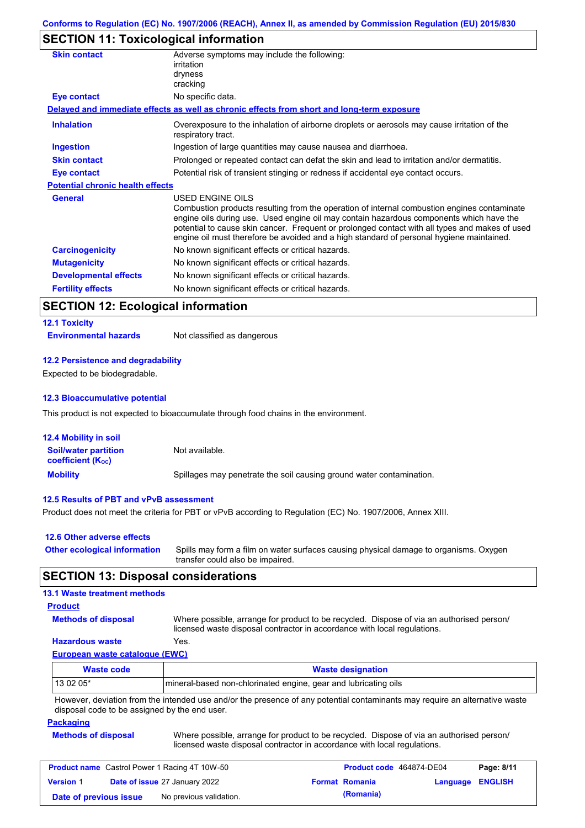# **SECTION 11: Toxicological information**

| <b>Skin contact</b>                     | Adverse symptoms may include the following:<br>irritation                                                                                                                                                                                                                                                                                                                                                |
|-----------------------------------------|----------------------------------------------------------------------------------------------------------------------------------------------------------------------------------------------------------------------------------------------------------------------------------------------------------------------------------------------------------------------------------------------------------|
|                                         | dryness                                                                                                                                                                                                                                                                                                                                                                                                  |
|                                         | cracking                                                                                                                                                                                                                                                                                                                                                                                                 |
| Eye contact                             | No specific data.                                                                                                                                                                                                                                                                                                                                                                                        |
|                                         | Delayed and immediate effects as well as chronic effects from short and long-term exposure                                                                                                                                                                                                                                                                                                               |
| <b>Inhalation</b>                       | Overexposure to the inhalation of airborne droplets or aerosols may cause irritation of the<br>respiratory tract.                                                                                                                                                                                                                                                                                        |
| <b>Ingestion</b>                        | Ingestion of large quantities may cause nausea and diarrhoea.                                                                                                                                                                                                                                                                                                                                            |
| <b>Skin contact</b>                     | Prolonged or repeated contact can defat the skin and lead to irritation and/or dermatitis.                                                                                                                                                                                                                                                                                                               |
| Eye contact                             | Potential risk of transient stinging or redness if accidental eye contact occurs.                                                                                                                                                                                                                                                                                                                        |
| <b>Potential chronic health effects</b> |                                                                                                                                                                                                                                                                                                                                                                                                          |
| <b>General</b>                          | USED ENGINE OILS<br>Combustion products resulting from the operation of internal combustion engines contaminate<br>engine oils during use. Used engine oil may contain hazardous components which have the<br>potential to cause skin cancer. Frequent or prolonged contact with all types and makes of used<br>engine oil must therefore be avoided and a high standard of personal hygiene maintained. |
| <b>Carcinogenicity</b>                  | No known significant effects or critical hazards.                                                                                                                                                                                                                                                                                                                                                        |
| <b>Mutagenicity</b>                     | No known significant effects or critical hazards.                                                                                                                                                                                                                                                                                                                                                        |
| <b>Developmental effects</b>            | No known significant effects or critical hazards.                                                                                                                                                                                                                                                                                                                                                        |
| <b>Fertility effects</b>                | No known significant effects or critical hazards.                                                                                                                                                                                                                                                                                                                                                        |
|                                         |                                                                                                                                                                                                                                                                                                                                                                                                          |

# **SECTION 12: Ecological information**

# **12.1 Toxicity**

**Environmental hazards** Not classified as dangerous

#### **12.2 Persistence and degradability**

Expected to be biodegradable.

#### **12.3 Bioaccumulative potential**

This product is not expected to bioaccumulate through food chains in the environment.

| <b>12.4 Mobility in soil</b>                            |                                                                      |
|---------------------------------------------------------|----------------------------------------------------------------------|
| <b>Soil/water partition</b><br><b>coefficient (Koc)</b> | Not available.                                                       |
| <b>Mobility</b>                                         | Spillages may penetrate the soil causing ground water contamination. |

#### **12.5 Results of PBT and vPvB assessment**

Product does not meet the criteria for PBT or vPvB according to Regulation (EC) No. 1907/2006, Annex XIII.

| 12.6 Other adverse effects          |                                                                                                                           |
|-------------------------------------|---------------------------------------------------------------------------------------------------------------------------|
| <b>Other ecological information</b> | Spills may form a film on water surfaces causing physical damage to organisms. Oxygen<br>transfer could also be impaired. |

### **SECTION 13: Disposal considerations**

### **13.1 Waste treatment methods**

### **Product**

**Methods of disposal**

Where possible, arrange for product to be recycled. Dispose of via an authorised person/ licensed waste disposal contractor in accordance with local regulations.

### **Hazardous waste** Yes.

**European waste catalogue (EWC)**

| <b>Waste code</b> | <b>Waste designation</b>                                                                                                    |
|-------------------|-----------------------------------------------------------------------------------------------------------------------------|
| $130205*$         | mineral-based non-chlorinated engine, gear and lubricating oils                                                             |
|                   | However, deviation from the intended use and/or the presence of any potential contaminants may require an alternative waste |

However, deviation from the intended use and/or the presence of any potential contaminants may require an alternative waste disposal code to be assigned by the end user.

#### **Packaging**

**Methods of disposal** Where possible, arrange for product to be recycled. Dispose of via an authorised person/ licensed waste disposal contractor in accordance with local regulations.

| <b>Product name</b> Castrol Power 1 Racing 4T 10W-50 |  |                                      | Product code 464874-DE04 |                       | Page: 8/11              |  |
|------------------------------------------------------|--|--------------------------------------|--------------------------|-----------------------|-------------------------|--|
| <b>Version 1</b>                                     |  | <b>Date of issue 27 January 2022</b> |                          | <b>Format Romania</b> | <b>Language ENGLISH</b> |  |
| Date of previous issue                               |  | No previous validation.              |                          | (Romania)             |                         |  |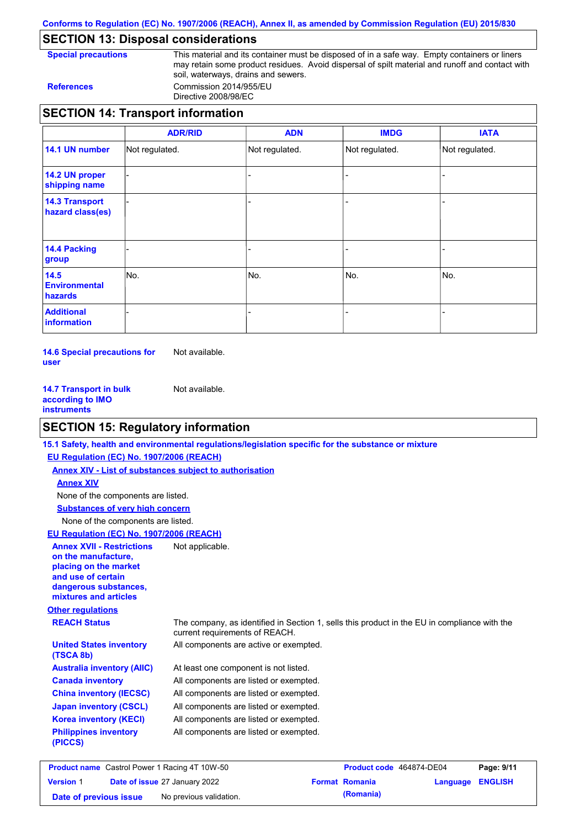**Conforms to Regulation (EC) No. 1907/2006 (REACH), Annex II, as amended by Commission Regulation (EU) 2015/830**

# **SECTION 13: Disposal considerations**

**Special precautions** This material and its container must be disposed of in a safe way. Empty containers or liners may retain some product residues. Avoid dispersal of spilt material and runoff and contact with soil, waterways, drains and sewers. **References** Commission 2014/955/EU

Directive 2008/98/EC

|                                           | <b>ADR/RID</b> | <b>ADN</b>     | <b>IMDG</b>    | <b>IATA</b>    |
|-------------------------------------------|----------------|----------------|----------------|----------------|
| 14.1 UN number                            | Not regulated. | Not regulated. | Not regulated. | Not regulated. |
| 14.2 UN proper<br>shipping name           |                |                |                |                |
| <b>14.3 Transport</b><br>hazard class(es) |                |                | -              |                |
| 14.4 Packing<br>group                     |                |                |                |                |
| 14.5<br><b>Environmental</b><br>hazards   | lNo.           | No.            | No.            | No.            |
| <b>Additional</b><br>information          |                |                |                |                |

**14.6 Special precautions for user** Not available.

**14.7 Transport in bulk according to IMO instruments** Not available.

# **SECTION 15: Regulatory information**

|                                                                                                                                                          | 15.1 Safety, health and environmental regulations/legislation specific for the substance or mixture                            |
|----------------------------------------------------------------------------------------------------------------------------------------------------------|--------------------------------------------------------------------------------------------------------------------------------|
| EU Regulation (EC) No. 1907/2006 (REACH)                                                                                                                 |                                                                                                                                |
| <b>Annex XIV - List of substances subject to authorisation</b>                                                                                           |                                                                                                                                |
| <b>Annex XIV</b>                                                                                                                                         |                                                                                                                                |
| None of the components are listed.                                                                                                                       |                                                                                                                                |
| <b>Substances of very high concern</b>                                                                                                                   |                                                                                                                                |
| None of the components are listed.                                                                                                                       |                                                                                                                                |
| <b>EU Regulation (EC) No. 1907/2006 (REACH)</b>                                                                                                          |                                                                                                                                |
| <b>Annex XVII - Restrictions</b><br>on the manufacture.<br>placing on the market<br>and use of certain<br>dangerous substances,<br>mixtures and articles | Not applicable.                                                                                                                |
| <b>Other regulations</b>                                                                                                                                 |                                                                                                                                |
| <b>REACH Status</b>                                                                                                                                      | The company, as identified in Section 1, sells this product in the EU in compliance with the<br>current requirements of REACH. |
| <b>United States inventory</b><br>(TSCA 8b)                                                                                                              | All components are active or exempted.                                                                                         |
| <b>Australia inventory (AIIC)</b>                                                                                                                        | At least one component is not listed.                                                                                          |
| <b>Canada inventory</b>                                                                                                                                  | All components are listed or exempted.                                                                                         |
| <b>China inventory (IECSC)</b>                                                                                                                           | All components are listed or exempted.                                                                                         |
| <b>Japan inventory (CSCL)</b>                                                                                                                            | All components are listed or exempted.                                                                                         |
| <b>Korea inventory (KECI)</b>                                                                                                                            | All components are listed or exempted.                                                                                         |
| <b>Philippines inventory</b><br>(PICCS)                                                                                                                  | All components are listed or exempted.                                                                                         |
|                                                                                                                                                          |                                                                                                                                |

| <b>Product name</b> Castrol Power 1 Racing 4T 10W-50 |  |                                      | Product code 464874-DE04 |                       | Page: 9/11       |  |
|------------------------------------------------------|--|--------------------------------------|--------------------------|-----------------------|------------------|--|
| <b>Version 1</b>                                     |  | <b>Date of issue 27 January 2022</b> |                          | <b>Format Romania</b> | Language ENGLISH |  |
| Date of previous issue                               |  | No previous validation.              |                          | (Romania)             |                  |  |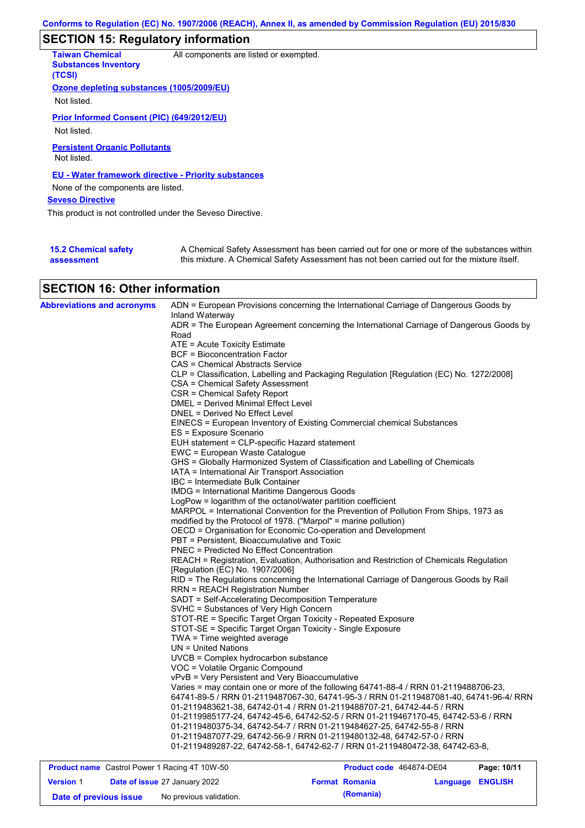# **SECTION 15: Regulatory information**

| <b>Taiwan Chemical</b><br><b>Substances Inventory</b><br>(TCSI) | All components are listed or exempted.                                                                                                                                                    |
|-----------------------------------------------------------------|-------------------------------------------------------------------------------------------------------------------------------------------------------------------------------------------|
| Ozone depleting substances (1005/2009/EU)                       |                                                                                                                                                                                           |
| Not listed.                                                     |                                                                                                                                                                                           |
| Prior Informed Consent (PIC) (649/2012/EU)                      |                                                                                                                                                                                           |
| Not listed.                                                     |                                                                                                                                                                                           |
| <b>Persistent Organic Pollutants</b><br>Not listed.             |                                                                                                                                                                                           |
| EU - Water framework directive - Priority substances            |                                                                                                                                                                                           |
| None of the components are listed.                              |                                                                                                                                                                                           |
| <b>Seveso Directive</b>                                         |                                                                                                                                                                                           |
| This product is not controlled under the Seveso Directive.      |                                                                                                                                                                                           |
|                                                                 |                                                                                                                                                                                           |
| <b>15.2 Chemical safety</b><br>assessment                       | A Chemical Safety Assessment has been carried out for one or more of the substances within<br>this mixture. A Chemical Safety Assessment has not been carried out for the mixture itself. |

# **SECTION 16: Other information**

| <b>Abbreviations and acronyms</b> | ADN = European Provisions concerning the International Carriage of Dangerous Goods by                                     |
|-----------------------------------|---------------------------------------------------------------------------------------------------------------------------|
|                                   | Inland Waterway<br>ADR = The European Agreement concerning the International Carriage of Dangerous Goods by               |
|                                   | Road                                                                                                                      |
|                                   | ATE = Acute Toxicity Estimate                                                                                             |
|                                   | BCF = Bioconcentration Factor                                                                                             |
|                                   | CAS = Chemical Abstracts Service                                                                                          |
|                                   | CLP = Classification, Labelling and Packaging Regulation [Regulation (EC) No. 1272/2008]                                  |
|                                   | CSA = Chemical Safety Assessment                                                                                          |
|                                   | CSR = Chemical Safety Report                                                                                              |
|                                   | <b>DMEL = Derived Minimal Effect Level</b>                                                                                |
|                                   | DNEL = Derived No Effect Level                                                                                            |
|                                   | EINECS = European Inventory of Existing Commercial chemical Substances                                                    |
|                                   | ES = Exposure Scenario                                                                                                    |
|                                   | EUH statement = CLP-specific Hazard statement                                                                             |
|                                   | EWC = European Waste Catalogue                                                                                            |
|                                   | GHS = Globally Harmonized System of Classification and Labelling of Chemicals                                             |
|                                   | IATA = International Air Transport Association                                                                            |
|                                   | IBC = Intermediate Bulk Container                                                                                         |
|                                   | <b>IMDG</b> = International Maritime Dangerous Goods                                                                      |
|                                   | LogPow = logarithm of the octanol/water partition coefficient                                                             |
|                                   | MARPOL = International Convention for the Prevention of Pollution From Ships, 1973 as                                     |
|                                   | modified by the Protocol of 1978. ("Marpol" = marine pollution)                                                           |
|                                   | OECD = Organisation for Economic Co-operation and Development                                                             |
|                                   | PBT = Persistent, Bioaccumulative and Toxic                                                                               |
|                                   | <b>PNEC = Predicted No Effect Concentration</b>                                                                           |
|                                   | REACH = Registration, Evaluation, Authorisation and Restriction of Chemicals Regulation                                   |
|                                   | [Regulation (EC) No. 1907/2006]<br>RID = The Regulations concerning the International Carriage of Dangerous Goods by Rail |
|                                   | <b>RRN = REACH Registration Number</b>                                                                                    |
|                                   | SADT = Self-Accelerating Decomposition Temperature                                                                        |
|                                   | SVHC = Substances of Very High Concern                                                                                    |
|                                   | STOT-RE = Specific Target Organ Toxicity - Repeated Exposure                                                              |
|                                   | STOT-SE = Specific Target Organ Toxicity - Single Exposure                                                                |
|                                   | $TWA = Time weighted average$                                                                                             |
|                                   | $UN = United Nations$                                                                                                     |
|                                   | $UVCB = Complex\;hydrocarbon\; substance$                                                                                 |
|                                   | VOC = Volatile Organic Compound                                                                                           |
|                                   | vPvB = Very Persistent and Very Bioaccumulative                                                                           |
|                                   | Varies = may contain one or more of the following 64741-88-4 / RRN 01-2119488706-23,                                      |
|                                   | 64741-89-5 / RRN 01-2119487067-30, 64741-95-3 / RRN 01-2119487081-40, 64741-96-4/ RRN                                     |
|                                   | 01-2119483621-38.                            64742-01-4 / RRN 01-2119488707-21.                     64742-44-5            |
|                                   | 01-2119985177-24, 64742-45-6, 64742-52-5 / RRN 01-2119467170-45, 64742-53-6 / RRN                                         |
|                                   | 01-2119480375-34, 64742-54-7 / RRN 01-2119484627-25, 64742-55-8 / RRN                                                     |
|                                   | 01-2119487077-29, 64742-56-9 / RRN 01-2119480132-48, 64742-57-0 / RRN                                                     |
|                                   | 01-2119489287-22, 64742-58-1, 64742-62-7 / RRN 01-2119480472-38, 64742-63-8,                                              |
|                                   |                                                                                                                           |

| <b>Product name</b> Castrol Power 1 Racing 4T 10W-50 |  |                                      | Product code 464874-DE04 | Page: 10/11           |                         |  |
|------------------------------------------------------|--|--------------------------------------|--------------------------|-----------------------|-------------------------|--|
| <b>Version 1</b>                                     |  | <b>Date of issue 27 January 2022</b> |                          | <b>Format Romania</b> | <b>Language ENGLISH</b> |  |
| Date of previous issue                               |  | No previous validation.              |                          | (Romania)             |                         |  |